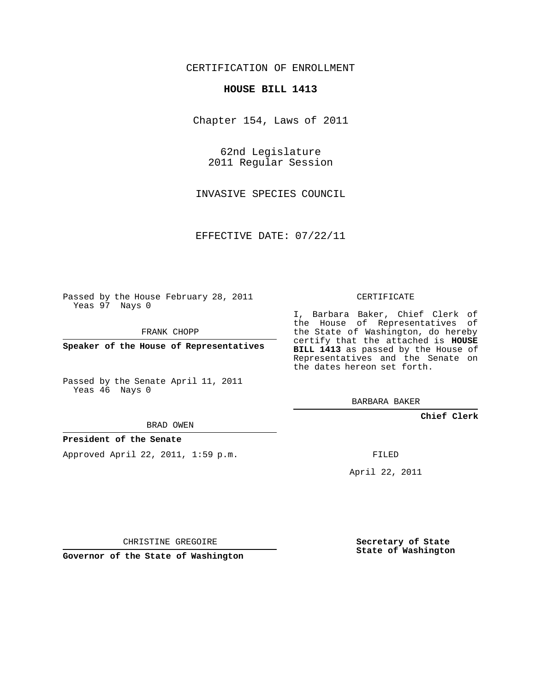## CERTIFICATION OF ENROLLMENT

#### **HOUSE BILL 1413**

Chapter 154, Laws of 2011

62nd Legislature 2011 Regular Session

INVASIVE SPECIES COUNCIL

EFFECTIVE DATE: 07/22/11

Passed by the House February 28, 2011 Yeas 97 Nays 0

FRANK CHOPP

**Speaker of the House of Representatives**

Passed by the Senate April 11, 2011 Yeas 46 Nays 0

#### BRAD OWEN

### **President of the Senate**

Approved April 22, 2011, 1:59 p.m.

#### CERTIFICATE

I, Barbara Baker, Chief Clerk of the House of Representatives of the State of Washington, do hereby certify that the attached is **HOUSE BILL 1413** as passed by the House of Representatives and the Senate on the dates hereon set forth.

BARBARA BAKER

**Chief Clerk**

FILED

April 22, 2011

CHRISTINE GREGOIRE

**Governor of the State of Washington**

**Secretary of State State of Washington**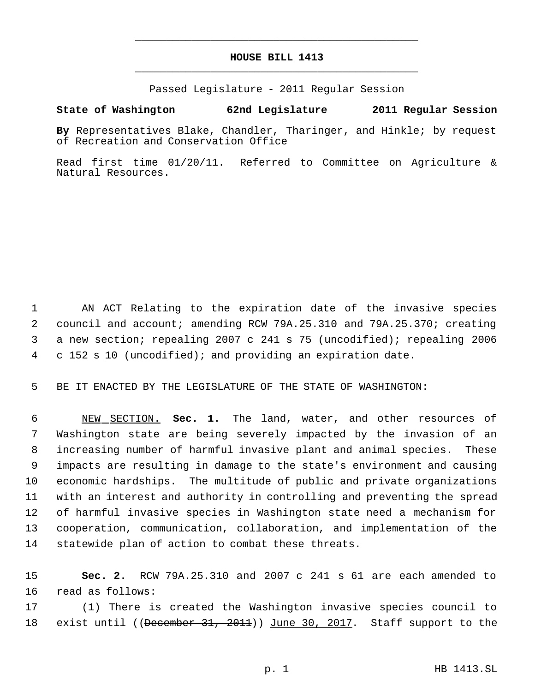# **HOUSE BILL 1413** \_\_\_\_\_\_\_\_\_\_\_\_\_\_\_\_\_\_\_\_\_\_\_\_\_\_\_\_\_\_\_\_\_\_\_\_\_\_\_\_\_\_\_\_\_

\_\_\_\_\_\_\_\_\_\_\_\_\_\_\_\_\_\_\_\_\_\_\_\_\_\_\_\_\_\_\_\_\_\_\_\_\_\_\_\_\_\_\_\_\_

Passed Legislature - 2011 Regular Session

## **State of Washington 62nd Legislature 2011 Regular Session**

**By** Representatives Blake, Chandler, Tharinger, and Hinkle; by request of Recreation and Conservation Office

Read first time 01/20/11. Referred to Committee on Agriculture & Natural Resources.

 AN ACT Relating to the expiration date of the invasive species council and account; amending RCW 79A.25.310 and 79A.25.370; creating a new section; repealing 2007 c 241 s 75 (uncodified); repealing 2006 c 152 s 10 (uncodified); and providing an expiration date.

BE IT ENACTED BY THE LEGISLATURE OF THE STATE OF WASHINGTON:

 NEW SECTION. **Sec. 1.** The land, water, and other resources of Washington state are being severely impacted by the invasion of an increasing number of harmful invasive plant and animal species. These impacts are resulting in damage to the state's environment and causing economic hardships. The multitude of public and private organizations with an interest and authority in controlling and preventing the spread of harmful invasive species in Washington state need a mechanism for cooperation, communication, collaboration, and implementation of the statewide plan of action to combat these threats.

 **Sec. 2.** RCW 79A.25.310 and 2007 c 241 s 61 are each amended to read as follows:

 (1) There is created the Washington invasive species council to 18 exist until ((December 31, 2011)) June 30, 2017. Staff support to the